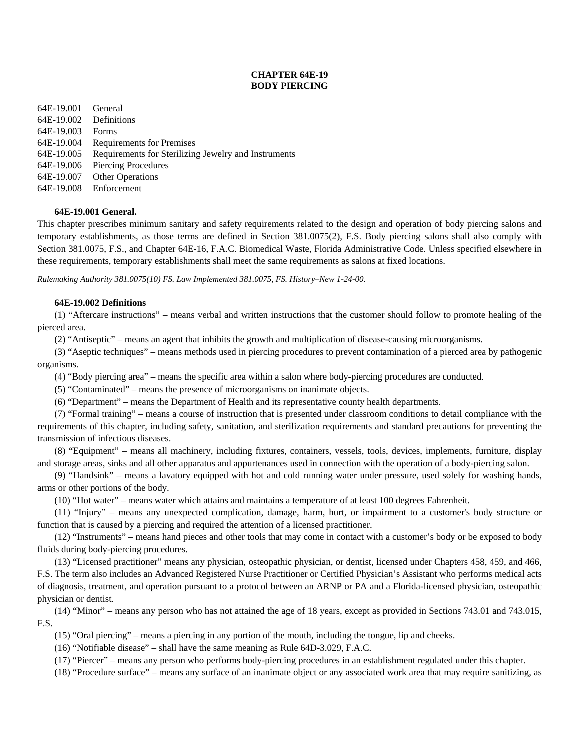# **CHAPTER 64E-19 BODY PIERCING**

64E-19.001 General 64E-19.002 Definitions 64E-19.003 Forms 64E-19.004 Requirements for Premises 64E-19.005 Requirements for Sterilizing Jewelry and Instruments 64E-19.006 Piercing Procedures 64E-19.007 Other Operations 64E-19.008 Enforcement

# **64E-19.001 General.**

This chapter prescribes minimum sanitary and safety requirements related to the design and operation of body piercing salons and temporary establishments, as those terms are defined in Section 381.0075(2), F.S. Body piercing salons shall also comply with Section 381.0075, F.S., and Chapter 64E-16, F.A.C. Biomedical Waste, Florida Administrative Code. Unless specified elsewhere in these requirements, temporary establishments shall meet the same requirements as salons at fixed locations.

*Rulemaking Authority 381.0075(10) FS. Law Implemented 381.0075, FS. History–New 1-24-00.* 

# **64E-19.002 Definitions**

(1) "Aftercare instructions" – means verbal and written instructions that the customer should follow to promote healing of the pierced area.

(2) "Antiseptic" – means an agent that inhibits the growth and multiplication of disease-causing microorganisms.

(3) "Aseptic techniques" – means methods used in piercing procedures to prevent contamination of a pierced area by pathogenic organisms.

(4) "Body piercing area" – means the specific area within a salon where body-piercing procedures are conducted.

(5) "Contaminated" – means the presence of microorganisms on inanimate objects.

(6) "Department" – means the Department of Health and its representative county health departments.

(7) "Formal training" – means a course of instruction that is presented under classroom conditions to detail compliance with the requirements of this chapter, including safety, sanitation, and sterilization requirements and standard precautions for preventing the transmission of infectious diseases.

(8) "Equipment" – means all machinery, including fixtures, containers, vessels, tools, devices, implements, furniture, display and storage areas, sinks and all other apparatus and appurtenances used in connection with the operation of a body-piercing salon.

(9) "Handsink" – means a lavatory equipped with hot and cold running water under pressure, used solely for washing hands, arms or other portions of the body.

(10) "Hot water" – means water which attains and maintains a temperature of at least 100 degrees Fahrenheit.

(11) "Injury" – means any unexpected complication, damage, harm, hurt, or impairment to a customer's body structure or function that is caused by a piercing and required the attention of a licensed practitioner.

(12) "Instruments" – means hand pieces and other tools that may come in contact with a customer's body or be exposed to body fluids during body-piercing procedures.

(13) "Licensed practitioner" means any physician, osteopathic physician, or dentist, licensed under Chapters 458, 459, and 466, F.S. The term also includes an Advanced Registered Nurse Practitioner or Certified Physician's Assistant who performs medical acts of diagnosis, treatment, and operation pursuant to a protocol between an ARNP or PA and a Florida-licensed physician, osteopathic physician or dentist.

(14) "Minor" – means any person who has not attained the age of 18 years, except as provided in Sections 743.01 and 743.015, F.S.

(15) "Oral piercing" – means a piercing in any portion of the mouth, including the tongue, lip and cheeks.

(16) "Notifiable disease" – shall have the same meaning as Rule 64D-3.029, F.A.C.

(17) "Piercer" – means any person who performs body-piercing procedures in an establishment regulated under this chapter.

(18) "Procedure surface" – means any surface of an inanimate object or any associated work area that may require sanitizing, as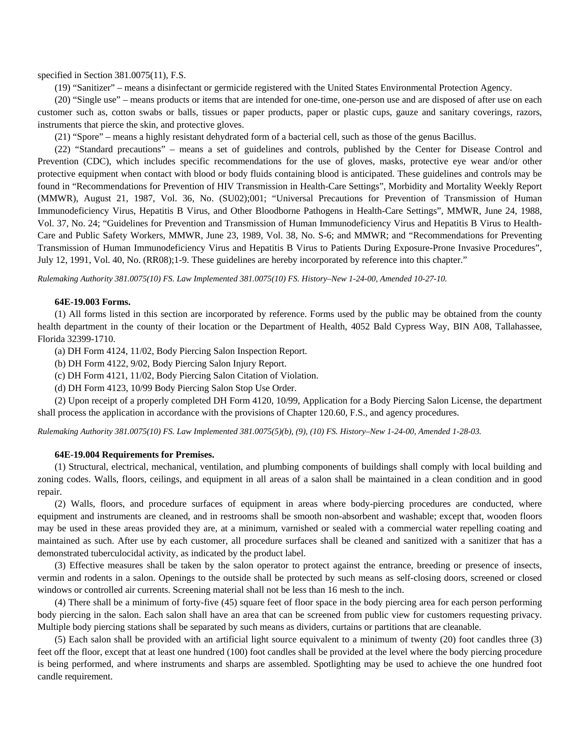specified in Section 381.0075(11), F.S.

(19) "Sanitizer" – means a disinfectant or germicide registered with the United States Environmental Protection Agency.

(20) "Single use" – means products or items that are intended for one-time, one-person use and are disposed of after use on each customer such as, cotton swabs or balls, tissues or paper products, paper or plastic cups, gauze and sanitary coverings, razors, instruments that pierce the skin, and protective gloves.

(21) "Spore" – means a highly resistant dehydrated form of a bacterial cell, such as those of the genus Bacillus.

(22) "Standard precautions" – means a set of guidelines and controls, published by the Center for Disease Control and Prevention (CDC), which includes specific recommendations for the use of gloves, masks, protective eye wear and/or other protective equipment when contact with blood or body fluids containing blood is anticipated. These guidelines and controls may be found in "Recommendations for Prevention of HIV Transmission in Health-Care Settings", Morbidity and Mortality Weekly Report (MMWR), August 21, 1987, Vol. 36, No. (SU02);001; "Universal Precautions for Prevention of Transmission of Human Immunodeficiency Virus, Hepatitis B Virus, and Other Bloodborne Pathogens in Health-Care Settings", MMWR, June 24, 1988, Vol. 37, No. 24; "Guidelines for Prevention and Transmission of Human Immunodeficiency Virus and Hepatitis B Virus to Health-Care and Public Safety Workers, MMWR, June 23, 1989, Vol. 38, No. S-6; and MMWR; and "Recommendations for Preventing Transmission of Human Immunodeficiency Virus and Hepatitis B Virus to Patients During Exposure-Prone Invasive Procedures", July 12, 1991, Vol. 40, No. (RR08);1-9. These guidelines are hereby incorporated by reference into this chapter."

*Rulemaking Authority 381.0075(10) FS. Law Implemented 381.0075(10) FS. History–New 1-24-00, Amended 10-27-10.* 

## **64E-19.003 Forms.**

(1) All forms listed in this section are incorporated by reference. Forms used by the public may be obtained from the county health department in the county of their location or the Department of Health, 4052 Bald Cypress Way, BIN A08, Tallahassee, Florida 32399-1710.

(a) DH Form 4124, 11/02, Body Piercing Salon Inspection Report.

(b) DH Form 4122, 9/02, Body Piercing Salon Injury Report.

(c) DH Form 4121, 11/02, Body Piercing Salon Citation of Violation.

(d) DH Form 4123, 10/99 Body Piercing Salon Stop Use Order.

(2) Upon receipt of a properly completed DH Form 4120, 10/99, Application for a Body Piercing Salon License, the department shall process the application in accordance with the provisions of Chapter 120.60, F.S., and agency procedures.

*Rulemaking Authority 381.0075(10) FS. Law Implemented 381.0075(5)(b), (9), (10) FS. History–New 1-24-00, Amended 1-28-03.* 

#### **64E-19.004 Requirements for Premises.**

(1) Structural, electrical, mechanical, ventilation, and plumbing components of buildings shall comply with local building and zoning codes. Walls, floors, ceilings, and equipment in all areas of a salon shall be maintained in a clean condition and in good repair.

(2) Walls, floors, and procedure surfaces of equipment in areas where body-piercing procedures are conducted, where equipment and instruments are cleaned, and in restrooms shall be smooth non-absorbent and washable; except that, wooden floors may be used in these areas provided they are, at a minimum, varnished or sealed with a commercial water repelling coating and maintained as such. After use by each customer, all procedure surfaces shall be cleaned and sanitized with a sanitizer that has a demonstrated tuberculocidal activity, as indicated by the product label.

(3) Effective measures shall be taken by the salon operator to protect against the entrance, breeding or presence of insects, vermin and rodents in a salon. Openings to the outside shall be protected by such means as self-closing doors, screened or closed windows or controlled air currents. Screening material shall not be less than 16 mesh to the inch.

(4) There shall be a minimum of forty-five (45) square feet of floor space in the body piercing area for each person performing body piercing in the salon. Each salon shall have an area that can be screened from public view for customers requesting privacy. Multiple body piercing stations shall be separated by such means as dividers, curtains or partitions that are cleanable.

(5) Each salon shall be provided with an artificial light source equivalent to a minimum of twenty (20) foot candles three (3) feet off the floor, except that at least one hundred (100) foot candles shall be provided at the level where the body piercing procedure is being performed, and where instruments and sharps are assembled. Spotlighting may be used to achieve the one hundred foot candle requirement.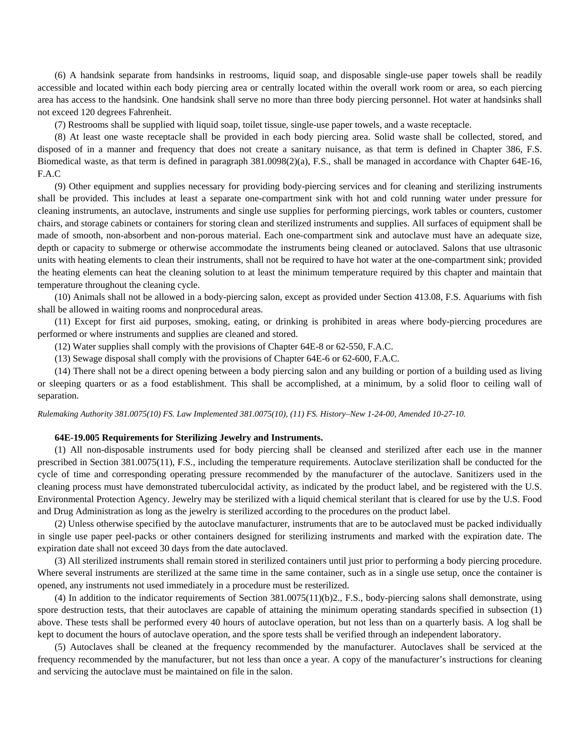(6) A handsink separate from handsinks in restrooms, liquid soap, and disposable single-use paper towels shall be readily accessible and located within each body piercing area or centrally located within the overall work room or area, so each piercing area has access to the handsink. One handsink shall serve no more than three body piercing personnel. Hot water at handsinks shall not exceed 120 degrees Fahrenheit.

(7) Restrooms shall be supplied with liquid soap, toilet tissue, single-use paper towels, and a waste receptacle.

(8) At least one waste receptacle shall be provided in each body piercing area. Solid waste shall be collected, stored, and disposed of in a manner and frequency that does not create a sanitary nuisance, as that term is defined in Chapter 386, F.S. Biomedical waste, as that term is defined in paragraph 381.0098(2)(a), F.S., shall be managed in accordance with Chapter 64E-16, F.A.C

(9) Other equipment and supplies necessary for providing body-piercing services and for cleaning and sterilizing instruments shall be provided. This includes at least a separate one-compartment sink with hot and cold running water under pressure for cleaning instruments, an autoclave, instruments and single use supplies for performing piercings, work tables or counters, customer chairs, and storage cabinets or containers for storing clean and sterilized instruments and supplies. All surfaces of equipment shall be made of smooth, non-absorbent and non-porous material. Each one-compartment sink and autoclave must have an adequate size, depth or capacity to submerge or otherwise accommodate the instruments being cleaned or autoclaved. Salons that use ultrasonic units with heating elements to clean their instruments, shall not be required to have hot water at the one-compartment sink; provided the heating elements can heat the cleaning solution to at least the minimum temperature required by this chapter and maintain that temperature throughout the cleaning cycle.

(10) Animals shall not be allowed in a body-piercing salon, except as provided under Section 413.08, F.S. Aquariums with fish shall be allowed in waiting rooms and nonprocedural areas.

(11) Except for first aid purposes, smoking, eating, or drinking is prohibited in areas where body-piercing procedures are performed or where instruments and supplies are cleaned and stored.

(12) Water supplies shall comply with the provisions of Chapter 64E-8 or 62-550, F.A.C.

(13) Sewage disposal shall comply with the provisions of Chapter 64E-6 or 62-600, F.A.C.

(14) There shall not be a direct opening between a body piercing salon and any building or portion of a building used as living or sleeping quarters or as a food establishment. This shall be accomplished, at a minimum, by a solid floor to ceiling wall of separation.

*Rulemaking Authority 381.0075(10) FS. Law Implemented 381.0075(10), (11) FS. History–New 1-24-00, Amended 10-27-10.* 

## **64E-19.005 Requirements for Sterilizing Jewelry and Instruments.**

(1) All non-disposable instruments used for body piercing shall be cleansed and sterilized after each use in the manner prescribed in Section 381.0075(11), F.S., including the temperature requirements. Autoclave sterilization shall be conducted for the cycle of time and corresponding operating pressure recommended by the manufacturer of the autoclave. Sanitizers used in the cleaning process must have demonstrated tuberculocidal activity, as indicated by the product label, and be registered with the U.S. Environmental Protection Agency. Jewelry may be sterilized with a liquid chemical sterilant that is cleared for use by the U.S. Food and Drug Administration as long as the jewelry is sterilized according to the procedures on the product label.

(2) Unless otherwise specified by the autoclave manufacturer, instruments that are to be autoclaved must be packed individually in single use paper peel-packs or other containers designed for sterilizing instruments and marked with the expiration date. The expiration date shall not exceed 30 days from the date autoclaved.

(3) All sterilized instruments shall remain stored in sterilized containers until just prior to performing a body piercing procedure. Where several instruments are sterilized at the same time in the same container, such as in a single use setup, once the container is opened, any instruments not used immediately in a procedure must be resterilized.

(4) In addition to the indicator requirements of Section 381.0075(11)(b)2., F.S., body-piercing salons shall demonstrate, using spore destruction tests, that their autoclaves are capable of attaining the minimum operating standards specified in subsection (1) above. These tests shall be performed every 40 hours of autoclave operation, but not less than on a quarterly basis. A log shall be kept to document the hours of autoclave operation, and the spore tests shall be verified through an independent laboratory.

(5) Autoclaves shall be cleaned at the frequency recommended by the manufacturer. Autoclaves shall be serviced at the frequency recommended by the manufacturer, but not less than once a year. A copy of the manufacturer's instructions for cleaning and servicing the autoclave must be maintained on file in the salon.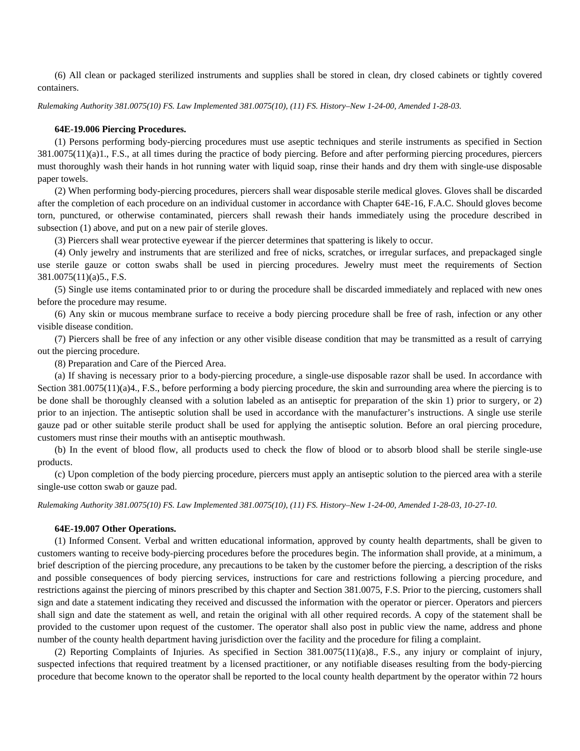(6) All clean or packaged sterilized instruments and supplies shall be stored in clean, dry closed cabinets or tightly covered containers.

*Rulemaking Authority 381.0075(10) FS. Law Implemented 381.0075(10), (11) FS. History–New 1-24-00, Amended 1-28-03.* 

#### **64E-19.006 Piercing Procedures.**

(1) Persons performing body-piercing procedures must use aseptic techniques and sterile instruments as specified in Section 381.0075(11)(a)1., F.S., at all times during the practice of body piercing. Before and after performing piercing procedures, piercers must thoroughly wash their hands in hot running water with liquid soap, rinse their hands and dry them with single-use disposable paper towels.

(2) When performing body-piercing procedures, piercers shall wear disposable sterile medical gloves. Gloves shall be discarded after the completion of each procedure on an individual customer in accordance with Chapter 64E-16, F.A.C. Should gloves become torn, punctured, or otherwise contaminated, piercers shall rewash their hands immediately using the procedure described in subsection (1) above, and put on a new pair of sterile gloves.

(3) Piercers shall wear protective eyewear if the piercer determines that spattering is likely to occur.

(4) Only jewelry and instruments that are sterilized and free of nicks, scratches, or irregular surfaces, and prepackaged single use sterile gauze or cotton swabs shall be used in piercing procedures. Jewelry must meet the requirements of Section 381.0075(11)(a)5., F.S.

(5) Single use items contaminated prior to or during the procedure shall be discarded immediately and replaced with new ones before the procedure may resume.

(6) Any skin or mucous membrane surface to receive a body piercing procedure shall be free of rash, infection or any other visible disease condition.

(7) Piercers shall be free of any infection or any other visible disease condition that may be transmitted as a result of carrying out the piercing procedure.

(8) Preparation and Care of the Pierced Area.

(a) If shaving is necessary prior to a body-piercing procedure, a single-use disposable razor shall be used. In accordance with Section 381.0075(11)(a)4., F.S., before performing a body piercing procedure, the skin and surrounding area where the piercing is to be done shall be thoroughly cleansed with a solution labeled as an antiseptic for preparation of the skin 1) prior to surgery, or 2) prior to an injection. The antiseptic solution shall be used in accordance with the manufacturer's instructions. A single use sterile gauze pad or other suitable sterile product shall be used for applying the antiseptic solution. Before an oral piercing procedure, customers must rinse their mouths with an antiseptic mouthwash.

(b) In the event of blood flow, all products used to check the flow of blood or to absorb blood shall be sterile single-use products.

(c) Upon completion of the body piercing procedure, piercers must apply an antiseptic solution to the pierced area with a sterile single-use cotton swab or gauze pad.

*Rulemaking Authority 381.0075(10) FS. Law Implemented 381.0075(10), (11) FS. History–New 1-24-00, Amended 1-28-03, 10-27-10.* 

#### **64E-19.007 Other Operations.**

(1) Informed Consent. Verbal and written educational information, approved by county health departments, shall be given to customers wanting to receive body-piercing procedures before the procedures begin. The information shall provide, at a minimum, a brief description of the piercing procedure, any precautions to be taken by the customer before the piercing, a description of the risks and possible consequences of body piercing services, instructions for care and restrictions following a piercing procedure, and restrictions against the piercing of minors prescribed by this chapter and Section 381.0075, F.S. Prior to the piercing, customers shall sign and date a statement indicating they received and discussed the information with the operator or piercer. Operators and piercers shall sign and date the statement as well, and retain the original with all other required records. A copy of the statement shall be provided to the customer upon request of the customer. The operator shall also post in public view the name, address and phone number of the county health department having jurisdiction over the facility and the procedure for filing a complaint.

(2) Reporting Complaints of Injuries. As specified in Section 381.0075(11)(a)8., F.S., any injury or complaint of injury, suspected infections that required treatment by a licensed practitioner, or any notifiable diseases resulting from the body-piercing procedure that become known to the operator shall be reported to the local county health department by the operator within 72 hours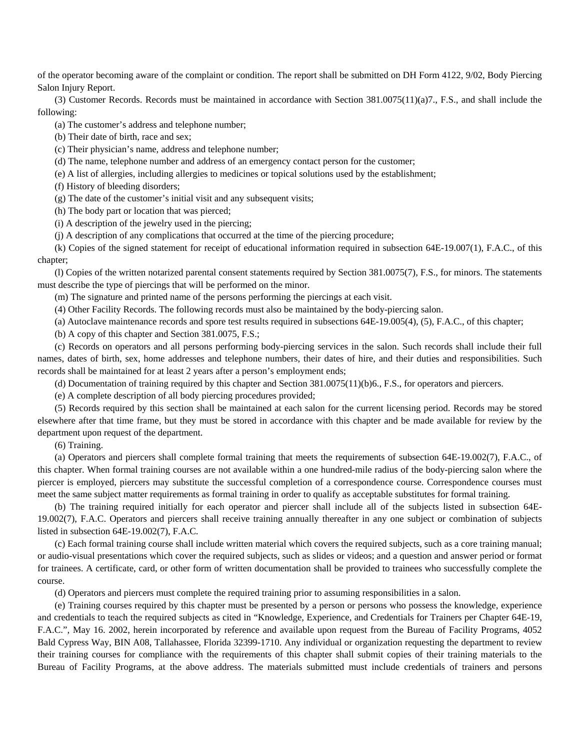of the operator becoming aware of the complaint or condition. The report shall be submitted on DH Form 4122, 9/02, Body Piercing Salon Injury Report.

(3) Customer Records. Records must be maintained in accordance with Section 381.0075(11)(a)7., F.S., and shall include the following:

(a) The customer's address and telephone number;

(b) Their date of birth, race and sex;

(c) Their physician's name, address and telephone number;

(d) The name, telephone number and address of an emergency contact person for the customer;

(e) A list of allergies, including allergies to medicines or topical solutions used by the establishment;

(f) History of bleeding disorders;

(g) The date of the customer's initial visit and any subsequent visits;

(h) The body part or location that was pierced;

(i) A description of the jewelry used in the piercing;

(j) A description of any complications that occurred at the time of the piercing procedure;

(k) Copies of the signed statement for receipt of educational information required in subsection 64E-19.007(1), F.A.C., of this chapter;

(l) Copies of the written notarized parental consent statements required by Section 381.0075(7), F.S., for minors. The statements must describe the type of piercings that will be performed on the minor.

(m) The signature and printed name of the persons performing the piercings at each visit.

(4) Other Facility Records. The following records must also be maintained by the body-piercing salon.

(a) Autoclave maintenance records and spore test results required in subsections 64E-19.005(4), (5), F.A.C., of this chapter;

(b) A copy of this chapter and Section 381.0075, F.S.;

(c) Records on operators and all persons performing body-piercing services in the salon. Such records shall include their full names, dates of birth, sex, home addresses and telephone numbers, their dates of hire, and their duties and responsibilities. Such records shall be maintained for at least 2 years after a person's employment ends;

(d) Documentation of training required by this chapter and Section 381.0075(11)(b)6., F.S., for operators and piercers.

(e) A complete description of all body piercing procedures provided;

(5) Records required by this section shall be maintained at each salon for the current licensing period. Records may be stored elsewhere after that time frame, but they must be stored in accordance with this chapter and be made available for review by the department upon request of the department.

(6) Training.

(a) Operators and piercers shall complete formal training that meets the requirements of subsection 64E-19.002(7), F.A.C., of this chapter. When formal training courses are not available within a one hundred-mile radius of the body-piercing salon where the piercer is employed, piercers may substitute the successful completion of a correspondence course. Correspondence courses must meet the same subject matter requirements as formal training in order to qualify as acceptable substitutes for formal training.

(b) The training required initially for each operator and piercer shall include all of the subjects listed in subsection 64E-19.002(7), F.A.C. Operators and piercers shall receive training annually thereafter in any one subject or combination of subjects listed in subsection 64E-19.002(7), F.A.C.

(c) Each formal training course shall include written material which covers the required subjects, such as a core training manual; or audio-visual presentations which cover the required subjects, such as slides or videos; and a question and answer period or format for trainees. A certificate, card, or other form of written documentation shall be provided to trainees who successfully complete the course.

(d) Operators and piercers must complete the required training prior to assuming responsibilities in a salon.

(e) Training courses required by this chapter must be presented by a person or persons who possess the knowledge, experience and credentials to teach the required subjects as cited in "Knowledge, Experience, and Credentials for Trainers per Chapter 64E-19, F.A.C.", May 16. 2002, herein incorporated by reference and available upon request from the Bureau of Facility Programs, 4052 Bald Cypress Way, BIN A08, Tallahassee, Florida 32399-1710. Any individual or organization requesting the department to review their training courses for compliance with the requirements of this chapter shall submit copies of their training materials to the Bureau of Facility Programs, at the above address. The materials submitted must include credentials of trainers and persons